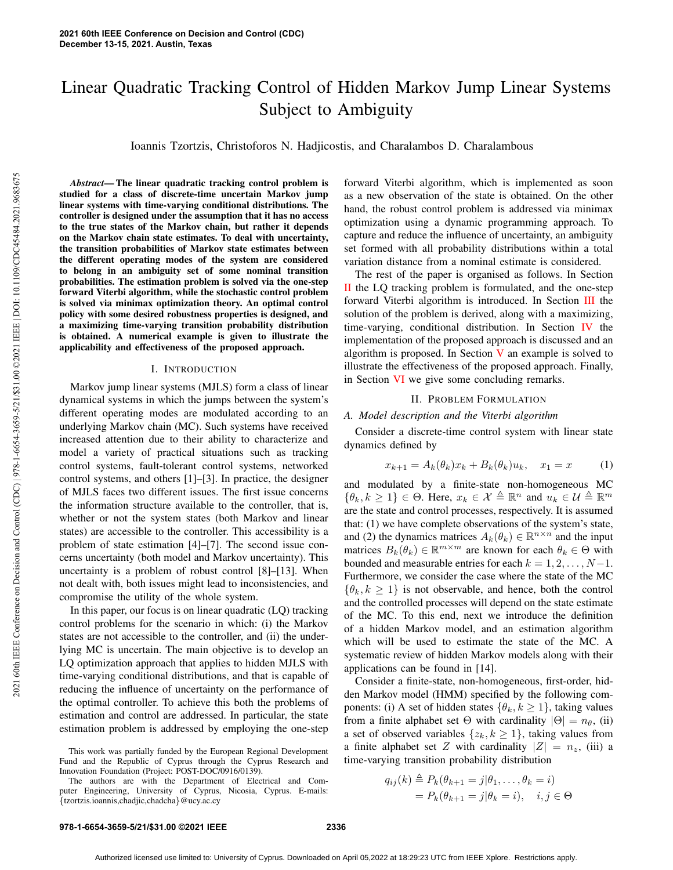# Linear Quadratic Tracking Control of Hidden Markov Jump Linear Systems Subject to Ambiguity

Ioannis Tzortzis, Christoforos N. Hadjicostis, and Charalambos D. Charalambous

*Abstract*— The linear quadratic tracking control problem is studied for a class of discrete-time uncertain Markov jump linear systems with time-varying conditional distributions. The controller is designed under the assumption that it has no access to the true states of the Markov chain, but rather it depends on the Markov chain state estimates. To deal with uncertainty, the transition probabilities of Markov state estimates between the different operating modes of the system are considered to belong in an ambiguity set of some nominal transition probabilities. The estimation problem is solved via the one-step forward Viterbi algorithm, while the stochastic control problem is solved via minimax optimization theory. An optimal control policy with some desired robustness properties is designed, and a maximizing time-varying transition probability distribution is obtained. A numerical example is given to illustrate the applicability and effectiveness of the proposed approach.

## I. INTRODUCTION

Markov jump linear systems (MJLS) form a class of linear dynamical systems in which the jumps between the system's different operating modes are modulated according to an underlying Markov chain (MC). Such systems have received increased attention due to their ability to characterize and model a variety of practical situations such as tracking control systems, fault-tolerant control systems, networked control systems, and others [1]–[3]. In practice, the designer of MJLS faces two different issues. The first issue concerns the information structure available to the controller, that is, whether or not the system states (both Markov and linear states) are accessible to the controller. This accessibility is a problem of state estimation [4]–[7]. The second issue concerns uncertainty (both model and Markov uncertainty). This uncertainty is a problem of robust control [8]–[13]. When not dealt with, both issues might lead to inconsistencies, and compromise the utility of the whole system.

In this paper, our focus is on linear quadratic (LQ) tracking control problems for the scenario in which: (i) the Markov states are not accessible to the controller, and (ii) the underlying MC is uncertain. The main objective is to develop an LQ optimization approach that applies to hidden MJLS with time-varying conditional distributions, and that is capable of reducing the influence of uncertainty on the performance of the optimal controller. To achieve this both the problems of estimation and control are addressed. In particular, the state estimation problem is addressed by employing the one-step

forward Viterbi algorithm, which is implemented as soon as a new observation of the state is obtained. On the other hand, the robust control problem is addressed via minimax optimization using a dynamic programming approach. To capture and reduce the influence of uncertainty, an ambiguity set formed with all probability distributions within a total variation distance from a nominal estimate is considered.

The rest of the paper is organised as follows. In Section  $\overline{II}$  the LQ tracking problem is formulated, and the one-step forward Viterbi algorithm is introduced. In Section III the solution of the problem is derived, along with a maximizing, time-varying, conditional distribution. In Section IV the implementation of the proposed approach is discussed and an algorithm is proposed. In Section  $V$  an example is solved to illustrate the effectiveness of the proposed approach. Finally, in Section VI we give some concluding remarks.

# II. PROBLEM FORMULATION

*A. Model description and the Viterbi algorithm*

Consider a discrete-time control system with linear state dynamics defined by

$$
x_{k+1} = A_k(\theta_k)x_k + B_k(\theta_k)u_k, \quad x_1 = x \tag{1}
$$

and modulated by a finite-state non-homogeneous MC  $\{\theta_k, k \geq 1\} \in \Theta$ . Here,  $x_k \in \mathcal{X} \triangleq \mathbb{R}^n$  and  $u_k \in \mathcal{U} \triangleq \mathbb{R}^m$ are the state and control processes, respectively. It is assumed that: (1) we have complete observations of the system's state, and (2) the dynamics matrices  $A_k(\theta_k) \in \mathbb{R}^{n \times n}$  and the input matrices  $B_k(\theta_k) \in \mathbb{R}^{m \times m}$  are known for each  $\theta_k \in \Theta$  with bounded and measurable entries for each  $k = 1, 2, \ldots, N-1$ . Furthermore, we consider the case where the state of the MC  $\{\theta_k, k \geq 1\}$  is not observable, and hence, both the control and the controlled processes will depend on the state estimate of the MC. To this end, next we introduce the definition of a hidden Markov model, and an estimation algorithm which will be used to estimate the state of the MC. A systematic review of hidden Markov models along with their applications can be found in [14].

Consider a finite-state, non-homogeneous, first-order, hidden Markov model (HMM) specified by the following components: (i) A set of hidden states  $\{\theta_k, k \geq 1\}$ , taking values from a finite alphabet set Θ with cardinality  $|\Theta| = n_{\theta}$ , (ii) a set of observed variables  $\{z_k, k \geq 1\}$ , taking values from a finite alphabet set Z with cardinality  $|Z| = n_z$ , (iii) a time-varying transition probability distribution

$$
q_{ij}(k) \triangleq P_k(\theta_{k+1} = j | \theta_1, \dots, \theta_k = i)
$$
  
=  $P_k(\theta_{k+1} = j | \theta_k = i), \quad i, j \in \Theta$ 

This work was partially funded by the European Regional Development Fund and the Republic of Cyprus through the Cyprus Research and Innovation Foundation (Project: POST-DOC/0916/0139).

The authors are with the Department of Electrical and Computer Engineering, University of Cyprus, Nicosia, Cyprus. E-mails: {tzortzis.ioannis,chadjic,chadcha}@ucy.ac.cy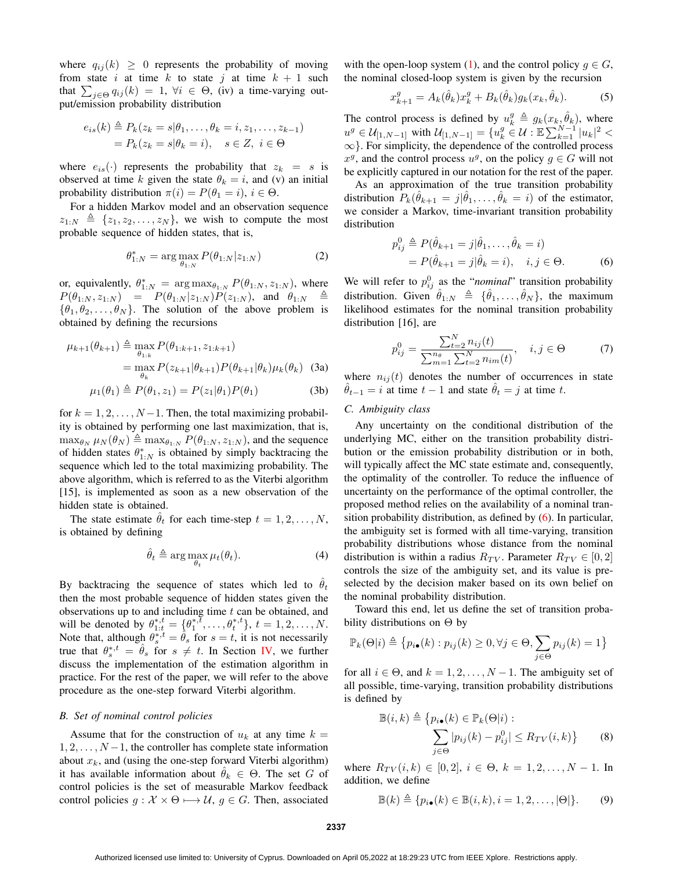where  $q_{ij}(k) \geq 0$  represents the probability of moving from state i at time k to state j at time  $k + 1$  such that  $\sum_{j \in \Theta} q_{ij}(k) = 1$ ,  $\forall i \in \Theta$ , (iv) a time-varying output/emission probability distribution

$$
e_{is}(k) \triangleq P_k(z_k = s | \theta_1, \dots, \theta_k = i, z_1, \dots, z_{k-1})
$$
  
=  $P_k(z_k = s | \theta_k = i), \quad s \in Z, \ i \in \Theta$ 

where  $e_{is}(\cdot)$  represents the probability that  $z_k = s$  is observed at time k given the state  $\theta_k = i$ , and (v) an initial probability distribution  $\pi(i) = P(\theta_1 = i), i \in \Theta$ .

For a hidden Markov model and an observation sequence  $z_{1:N} \triangleq \{z_1, z_2, \ldots, z_N\}$ , we wish to compute the most probable sequence of hidden states, that is,

$$
\theta_{1:N}^* = \arg\max_{\theta_{1:N}} P(\theta_{1:N}|z_{1:N})
$$
 (2)

or, equivalently,  $\theta_{1:N}^* = \arg \max_{\theta_{1:N}} P(\theta_{1:N}, z_{1:N})$ , where  $P(\theta_{1:N}, z_{1:N}) = P(\theta_{1:N} | z_{1:N}) P(z_{1:N}),$  and  $\theta_{1:N} \triangleq$  $\{\theta_1, \theta_2, \dots, \theta_N\}$ . The solution of the above problem is obtained by defining the recursions

$$
\mu_{k+1}(\theta_{k+1}) \triangleq \max_{\theta_{1:k}} P(\theta_{1:k+1}, z_{1:k+1})
$$
  
= 
$$
\max_{\theta_k} P(z_{k+1}|\theta_{k+1}) P(\theta_{k+1}|\theta_k) \mu_k(\theta_k)
$$
 (3a)

$$
\mu_1(\theta_1) \triangleq P(\theta_1, z_1) = P(z_1|\theta_1)P(\theta_1)
$$
 (3b)

for  $k = 1, 2, \ldots, N-1$ . Then, the total maximizing probability is obtained by performing one last maximization, that is,  $\max_{\theta_N} \mu_N(\theta_N) \triangleq \max_{\theta_{1:N}} P(\theta_{1:N}, z_{1:N})$ , and the sequence of hidden states  $\theta_{1:N}^*$  is obtained by simply backtracing the sequence which led to the total maximizing probability. The above algorithm, which is referred to as the Viterbi algorithm [15], is implemented as soon as a new observation of the hidden state is obtained.

The state estimate  $\hat{\theta}_t$  for each time-step  $t = 1, 2, \ldots, N$ , is obtained by defining

$$
\hat{\theta}_t \triangleq \arg \max_{\theta_t} \mu_t(\theta_t). \tag{4}
$$

By backtracing the sequence of states which led to  $\hat{\theta}_t$ then the most probable sequence of hidden states given the observations up to and including time  $t$  can be obtained, and will be denoted by  $\theta_{1:t}^{*,t} = \{\theta_1^{*,t}, \dots, \theta_t^{*,t}\}, t = 1, 2, \dots, N$ . Note that, although  $\theta_s^{*,t} = \hat{\theta}_s$  for  $s = t$ , it is not necessarily true that  $\theta_s^{*,t} = \hat{\theta}_s$  for  $s \neq t$ . In Section IV, we further discuss the implementation of the estimation algorithm in practice. For the rest of the paper, we will refer to the above procedure as the one-step forward Viterbi algorithm.

#### *B. Set of nominal control policies*

Assume that for the construction of  $u_k$  at any time  $k =$  $1, 2, \ldots, N-1$ , the controller has complete state information about  $x_k$ , and (using the one-step forward Viterbi algorithm) it has available information about  $\theta_k \in \Theta$ . The set G of control policies is the set of measurable Markov feedback control policies  $g : \mathcal{X} \times \Theta \longrightarrow \mathcal{U}$ ,  $g \in G$ . Then, associated with the open-loop system (1), and the control policy  $g \in G$ , the nominal closed-loop system is given by the recursion

$$
x_{k+1}^g = A_k(\hat{\theta}_k)x_k^g + B_k(\hat{\theta}_k)g_k(x_k, \hat{\theta}_k).
$$
 (5)

The control process is defined by  $u_k^g \triangleq g_k(x_k, \hat{\theta}_k)$ , where  $u^g \in \mathcal{U}_{[1,N-1]}$  with  $\mathcal{U}_{[1,N-1]} = \{u^g_k \in \mathcal{U}: \mathbb{E} \sum_{k=1}^{N-1} |u_k|^2 < \epsilon \}$ ∞}. For simplicity, the dependence of the controlled process  $x^g$ , and the control process  $u^g$ , on the policy  $g \in G$  will not be explicitly captured in our notation for the rest of the paper.

As an approximation of the true transition probability distribution  $P_k(\hat{\theta}_{k+1} = j | \hat{\theta}_1, \dots, \hat{\theta}_k = i)$  of the estimator, we consider a Markov, time-invariant transition probability distribution

$$
p_{ij}^0 \triangleq P(\hat{\theta}_{k+1} = j | \hat{\theta}_1, ..., \hat{\theta}_k = i)
$$
  
=  $P(\hat{\theta}_{k+1} = j | \hat{\theta}_k = i), \quad i, j \in \Theta.$  (6)

We will refer to  $p_{ij}^0$  as the "*nominal*" transition probability distribution. Given  $\hat{\theta}_{1:N} \triangleq {\hat{\theta}_1, \ldots, \hat{\theta}_N}$ , the maximum likelihood estimates for the nominal transition probability distribution [16], are

$$
p_{ij}^0 = \frac{\sum_{t=2}^{N} n_{ij}(t)}{\sum_{m=1}^{n_{\theta}} \sum_{t=2}^{N} n_{im}(t)}, \quad i, j \in \Theta
$$
 (7)

where  $n_{ij}(t)$  denotes the number of occurrences in state  $\theta_{t-1} = i$  at time  $t - 1$  and state  $\theta_t = j$  at time t.

# *C. Ambiguity class*

 $\mathbb B$ 

Any uncertainty on the conditional distribution of the underlying MC, either on the transition probability distribution or the emission probability distribution or in both, will typically affect the MC state estimate and, consequently, the optimality of the controller. To reduce the influence of uncertainty on the performance of the optimal controller, the proposed method relies on the availability of a nominal transition probability distribution, as defined by (6). In particular, the ambiguity set is formed with all time-varying, transition probability distributions whose distance from the nominal distribution is within a radius  $R_{TV}$ . Parameter  $R_{TV} \in [0, 2]$ controls the size of the ambiguity set, and its value is preselected by the decision maker based on its own belief on the nominal probability distribution.

Toward this end, let us define the set of transition probability distributions on  $\Theta$  by

$$
\mathbb{P}_{k}(\Theta|i) \triangleq \{p_{i\bullet}(k) : p_{ij}(k) \ge 0, \forall j \in \Theta, \sum_{j \in \Theta} p_{ij}(k) = 1\}
$$

for all  $i \in \Theta$ , and  $k = 1, 2, ..., N - 1$ . The ambiguity set of all possible, time-varying, transition probability distributions is defined by

$$
(i,k) \triangleq \{p_{i\bullet}(k) \in \mathbb{P}_k(\Theta|i) : \sum_{j \in \Theta} |p_{ij}(k) - p_{ij}^0| \le R_{TV}(i,k)\}
$$
 (8)

where  $R_{TV}(i,k) \in [0,2], i \in \Theta, k = 1,2,...,N-1$ . In addition, we define

$$
\mathbb{B}(k) \triangleq \{p_{i\bullet}(k) \in \mathbb{B}(i,k), i = 1, 2, \dots, |\Theta|\}.
$$
 (9)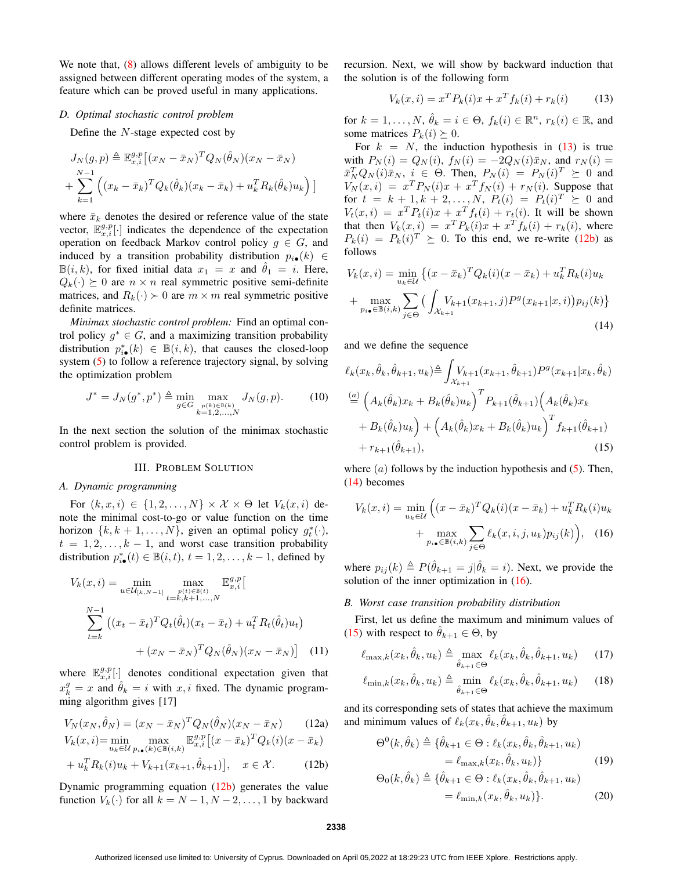We note that,  $(8)$  allows different levels of ambiguity to be assigned between different operating modes of the system, a feature which can be proved useful in many applications.

## *D. Optimal stochastic control problem*

Define the  $N$ -stage expected cost by

$$
J_N(g, p) \triangleq \mathbb{E}_{x,i}^{g,p} [(x_N - \bar{x}_N)^T Q_N(\hat{\theta}_N)(x_N - \bar{x}_N)
$$
  
+ 
$$
\sum_{k=1}^{N-1} ((x_k - \bar{x}_k)^T Q_k(\hat{\theta}_k)(x_k - \bar{x}_k) + u_k^T R_k(\hat{\theta}_k)u_k)
$$

where  $\bar{x}_k$  denotes the desired or reference value of the state vector,  $\mathbb{E}_{x,i}^{g,p}[\cdot]$  indicates the dependence of the expectation operation on feedback Markov control policy  $g \in G$ , and induced by a transition probability distribution  $p_{i\bullet}(k) \in$  $\mathbb{B}(i,k)$ , for fixed initial data  $x_1 = x$  and  $\theta_1 = i$ . Here,  $Q_k(\cdot) \succeq 0$  are  $n \times n$  real symmetric positive semi-definite matrices, and  $R_k(\cdot) > 0$  are  $m \times m$  real symmetric positive definite matrices.

*Minimax stochastic control problem:* Find an optimal control policy  $g^* \in G$ , and a maximizing transition probability distribution  $p_{i\bullet}^*(k) \in \mathbb{B}(i,k)$ , that causes the closed-loop system (5) to follow a reference trajectory signal, by solving the optimization problem

$$
J^* = J_N(g^*, p^*) \triangleq \min_{g \in G} \max_{\substack{p(k) \in \mathbb{B}(k) \\ k=1,2,\dots,N}} J_N(g, p). \tag{10}
$$

In the next section the solution of the minimax stochastic control problem is provided.

## III. PROBLEM SOLUTION

#### *A. Dynamic programming*

For  $(k, x, i) \in \{1, 2, \ldots, N\} \times \mathcal{X} \times \Theta$  let  $V_k(x, i)$  denote the minimal cost-to-go or value function on the time horizon  $\{k, k + 1, \ldots, N\}$ , given an optimal policy  $g_t^*(\cdot)$ ,  $t = 1, 2, \ldots, k - 1$ , and worst case transition probability distribution  $p_{i\bullet}^*(t) \in \mathbb{B}(i,t)$ ,  $t = 1, 2, \ldots, k-1$ , defined by

$$
V_k(x, i) = \min_{u \in \mathcal{U}_{[k, N-1]}} \max_{\substack{p(t) \in \mathbb{B}(t) \\ t = k, k+1, ..., N}} \mathbb{E}_{x, i}^{g, p} \Big[
$$
  

$$
\sum_{t=k}^{N-1} \left( (x_t - \bar{x}_t)^T Q_t(\hat{\theta}_t)(x_t - \bar{x}_t) + u_t^T R_t(\hat{\theta}_t) u_t \right)
$$
  

$$
+ (x_N - \bar{x}_N)^T Q_N(\hat{\theta}_N)(x_N - \bar{x}_N) \Big]
$$
(11)

where  $\mathbb{E}_{x,i}^{g,p}[\cdot]$  denotes conditional expectation given that  $x_k^g = x$  and  $\hat{\theta}_k = i$  with  $x, i$  fixed. The dynamic programming algorithm gives [17]

$$
V_N(x_N, \hat{\theta}_N) = (x_N - \bar{x}_N)^T Q_N(\hat{\theta}_N)(x_N - \bar{x}_N)
$$
(12a)  

$$
V_k(x, i) = \min_{u_k \in \mathcal{U}} \max_{p_{i\bullet}(k) \in \mathbb{B}(i,k)} \mathbb{E}_{x,i}^{g,p} [(x - \bar{x}_k)^T Q_k(i)(x - \bar{x}_k)
$$
  
+  $u_k^T R_k(i) u_k + V_{k+1}(x_{k+1}, \hat{\theta}_{k+1})], \quad x \in \mathcal{X}.$  (12b)

Dynamic programming equation (12b) generates the value function  $V_k(\cdot)$  for all  $k = N - 1, N - 2, \ldots, 1$  by backward recursion. Next, we will show by backward induction that the solution is of the following form

$$
V_k(x, i) = x^T P_k(i)x + x^T f_k(i) + r_k(i)
$$
 (13)

for  $k = 1, \ldots, N, \, \hat{\theta}_k = i \in \Theta, \, f_k(i) \in \mathbb{R}^n, \, r_k(i) \in \mathbb{R}, \, \text{and}$ some matrices  $P_k(i) \succeq 0$ .

For  $k = N$ , the induction hypothesis in (13) is true with  $P_N(i) = Q_N(i)$ ,  $f_N(i) = -2Q_N(i)\bar{x}_N$ , and  $r_N(i) =$  $\bar{x}_N^T Q_N(i) \bar{x}_N$ ,  $i \in \Theta$ . Then,  $P_N(i) = P_N(i)^T \succeq 0$  and  $V_N(x,i) = x^T P_N(i)x + x^T f_N(i) + r_N(i)$ . Suppose that for  $t = k + 1, k + 2, ..., N$ ,  $P_t(i) = P_t(i)^T \succeq 0$  and  $V_t(x, i) = x^T P_t(i)x + x^T f_t(i) + r_t(i)$ . It will be shown that then  $V_k(x, i) = x^T P_k(i)x + x^T f_k(i) + r_k(i)$ , where  $P_k(i) = P_k(i)^T \succeq 0$ . To this end, we re-write (12b) as follows

$$
V_k(x,i) = \min_{u_k \in \mathcal{U}} \left\{ (x - \bar{x}_k)^T Q_k(i)(x - \bar{x}_k) + u_k^T R_k(i) u_k + \max_{p_{i\bullet} \in \mathbb{B}(i,k)} \sum_{j \in \Theta} \left( \int_{\mathcal{X}_{k+1}} V_{k+1}(x_{k+1}, j) P^g(x_{k+1}|x, i) \right) p_{ij}(k) \right\}
$$
\n(14)

and we define the sequence

$$
\ell_k(x_k, \hat{\theta}_k, \hat{\theta}_{k+1}, u_k) \triangleq \int_{\mathcal{X}_{k+1}} V_{k+1}(x_{k+1}, \hat{\theta}_{k+1}) P^g(x_{k+1}|x_k, \hat{\theta}_k)
$$
  
\n
$$
\stackrel{(a)}{=} \left( A_k(\hat{\theta}_k) x_k + B_k(\hat{\theta}_k) u_k \right)^T P_{k+1}(\hat{\theta}_{k+1}) \left( A_k(\hat{\theta}_k) x_k + B_k(\hat{\theta}_k) u_k \right)^T f_{k+1}(\hat{\theta}_{k+1})
$$
  
\n
$$
+ r_{k+1}(\hat{\theta}_{k+1}), \qquad (15)
$$

where  $(a)$  follows by the induction hypothesis and  $(5)$ . Then, (14) becomes

$$
V_k(x,i) = \min_{u_k \in \mathcal{U}} \left( (x - \bar{x}_k)^T Q_k(i) (x - \bar{x}_k) + u_k^T R_k(i) u_k + \max_{p_{i\bullet} \in \mathbb{B}(i,k)} \sum_{j \in \Theta} \ell_k(x,i,j,u_k) p_{ij}(k) \right), \quad (16)
$$

where  $p_{ij}(k) \triangleq P(\hat{\theta}_{k+1} = j | \hat{\theta}_k = i)$ . Next, we provide the solution of the inner optimization in  $(16)$ .

#### *B. Worst case transition probability distribution*

First, let us define the maximum and minimum values of (15) with respect to  $\hat{\theta}_{k+1} \in \Theta$ , by

$$
\ell_{\max,k}(x_k, \hat{\theta}_k, u_k) \triangleq \max_{\hat{\theta}_{k+1} \in \Theta} \ell_k(x_k, \hat{\theta}_k, \hat{\theta}_{k+1}, u_k)
$$
(17)

$$
\ell_{\min,k}(x_k, \hat{\theta}_k, u_k) \triangleq \min_{\hat{\theta}_{k+1} \in \Theta} \ell_k(x_k, \hat{\theta}_k, \hat{\theta}_{k+1}, u_k)
$$
(18)

and its corresponding sets of states that achieve the maximum and minimum values of  $\ell_k(x_k, \hat{\theta}_k, \hat{\theta}_{k+1}, u_k)$  by

$$
\Theta^{0}(k, \hat{\theta}_{k}) \triangleq \{ \hat{\theta}_{k+1} \in \Theta : \ell_{k}(x_{k}, \hat{\theta}_{k}, \hat{\theta}_{k+1}, u_{k})
$$

$$
= \ell_{\max,k}(x_{k}, \hat{\theta}_{k}, u_{k}) \}
$$
(19)

$$
\Theta_0(k, \hat{\theta}_k) \triangleq \{ \hat{\theta}_{k+1} \in \Theta : \ell_k(x_k, \hat{\theta}_k, \hat{\theta}_{k+1}, u_k) = \ell_{\min,k}(x_k, \hat{\theta}_k, u_k) \}.
$$
 (20)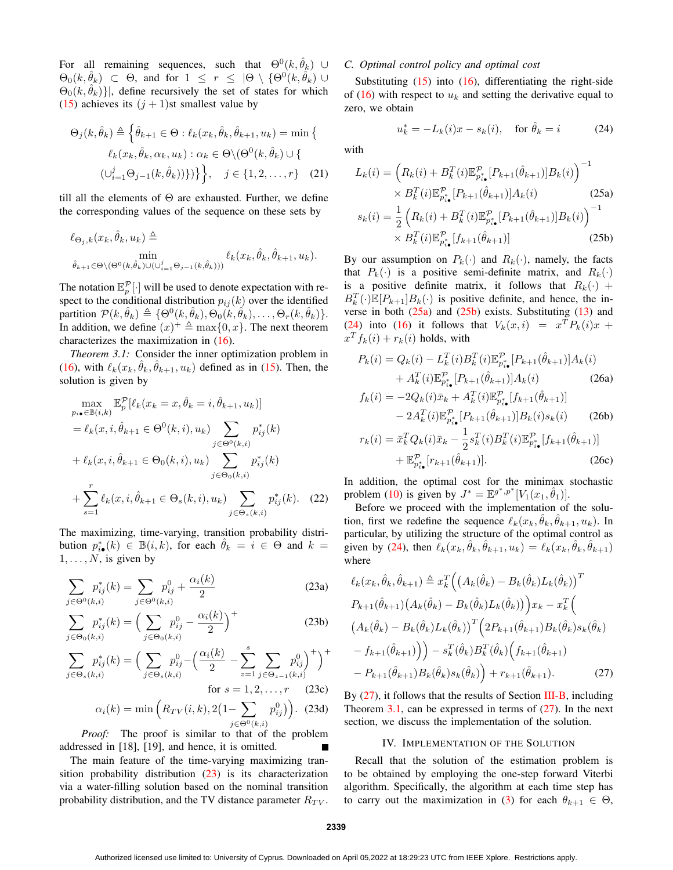For all remaining sequences, such that  $\Theta^0(k, \hat{\theta}_k)$  ∪  $\Theta_0(k,\hat{\theta}_k)$   $\subset$   $\Theta$ , and for  $1 \leq r \leq |\Theta \setminus {\Theta}^0(k,\hat{\theta}_k)| \cup$  $\Theta_0(k, \hat{\theta}_k)$ ], define recursively the set of states for which (15) achieves its  $(j + 1)$ st smallest value by

$$
\Theta_j(k, \hat{\theta}_k) \triangleq \left\{ \hat{\theta}_{k+1} \in \Theta : \ell_k(x_k, \hat{\theta}_k, \hat{\theta}_{k+1}, u_k) = \min \left\{ \begin{array}{c} \ell_k(x_k, \hat{\theta}_k, \alpha_k, u_k) : \alpha_k \in \Theta \setminus (\Theta^0(k, \hat{\theta}_k) \cup \left\{ \begin{array}{c} (\cup_{i=1}^j \Theta_{j-1}(k, \hat{\theta}_k))) \right\} \end{array} \right\}, \quad j \in \{1, 2, \dots, r\} \quad (21)
$$

till all the elements of  $\Theta$  are exhausted. Further, we define the corresponding values of the sequence on these sets by

$$
\begin{aligned} \ell_{\Theta_j,k}(x_k,\hat{\theta}_k,u_k) &\triangleq & \min_{\hat{\theta}_{k+1}\in\Theta\backslash(\Theta^0(k,\hat{\theta}_k)\cup(\bigcup_{i=1}^j\Theta_{j-1}(k,\hat{\theta}_k)))} \ell_k(x_k,\hat{\theta}_k,\hat{\theta}_{k+1},u_k). \end{aligned}
$$

The notation  $\mathbb{E}_p^{\mathcal{P}}[\cdot]$  will be used to denote expectation with respect to the conditional distribution  $p_{ij}(k)$  over the identified partition  $\mathcal{P}(k, \hat{\theta}_k) \triangleq \{ \Theta^0(k, \hat{\theta}_k), \Theta_0(k, \hat{\theta}_k), \dots, \Theta_r(k, \hat{\theta}_k) \}.$ In addition, we define  $(x)^{+} \triangleq \max\{0, x\}$ . The next theorem characterizes the maximization in (16).

*Theorem 3.1:* Consider the inner optimization problem in (16), with  $\ell_k(x_k, \hat{\theta}_k, \hat{\theta}_{k+1}, u_k)$  defined as in (15). Then, the solution is given by

$$
\max_{p_{i\bullet}\in\mathbb{B}(i,k)} \mathbb{E}_{p}^{\mathcal{P}}[\ell_{k}(x_{k}=x,\hat{\theta}_{k}=i,\hat{\theta}_{k+1},u_{k})]
$$
\n
$$
= \ell_{k}(x,i,\hat{\theta}_{k+1}\in\Theta^{0}(k,i),u_{k}) \sum_{j\in\Theta^{0}(k,i)} p_{ij}^{*}(k)
$$
\n
$$
+ \ell_{k}(x,i,\hat{\theta}_{k+1}\in\Theta_{0}(k,i),u_{k}) \sum_{j\in\Theta_{0}(k,i)} p_{ij}^{*}(k)
$$
\n
$$
+ \sum_{s=1}^{r} \ell_{k}(x,i,\hat{\theta}_{k+1}\in\Theta_{s}(k,i),u_{k}) \sum_{j\in\Theta_{s}(k,i)} p_{ij}^{*}(k). (22)
$$

The maximizing, time-varying, transition probability distribution  $p_{i\bullet}^*(k) \in \mathbb{B}(i,k)$ , for each  $\hat{\theta}_k = i \in \Theta$  and  $k =$  $1, \ldots, N$ , is given by

$$
\sum_{j \in \Theta^0(k,i)} p_{ij}^*(k) = \sum_{j \in \Theta^0(k,i)} p_{ij}^0 + \frac{\alpha_i(k)}{2}
$$
 (23a)

$$
\sum_{j \in \Theta_0(k,i)} p_{ij}^*(k) = \left(\sum_{j \in \Theta_0(k,i)} p_{ij}^0 - \frac{\alpha_i(k)}{2}\right)^+ \tag{23b}
$$

$$
\sum_{j \in \Theta_s(k,i)} p_{ij}^*(k) = \left(\sum_{j \in \Theta_s(k,i)} p_{ij}^0 - \left(\frac{\alpha_i(k)}{2} - \sum_{z=1}^s \sum_{j \in \Theta_{z-1}(k,i)} p_{ij}^0\right)^+\right)^+
$$
  
for  $s = 1, 2, ..., r$  (23c)  

$$
\alpha_i(k) = \min\left(R_{TV}(i, k), 2(1 - \sum n_{ij}^0)\right)
$$
 (23d)

$$
\alpha_i(k) = \min\left(R_{TV}(i,k), 2\left(1 - \sum_{j \in \Theta^0(k,i)} p_{ij}^0\right)\right). \tag{23d}
$$

*Proof:* The proof is similar to that of the problem addressed in [18], [19], and hence, it is omitted.

The main feature of the time-varying maximizing transition probability distribution (23) is its characterization via a water-filling solution based on the nominal transition probability distribution, and the TV distance parameter  $R_{TV}$ .

## *C. Optimal control policy and optimal cost*

Substituting  $(15)$  into  $(16)$ , differentiating the right-side of (16) with respect to  $u_k$  and setting the derivative equal to zero, we obtain

$$
u_k^* = -L_k(i)x - s_k(i), \quad \text{for } \hat{\theta}_k = i \tag{24}
$$

with

$$
L_k(i) = \left(R_k(i) + B_k^T(i)\mathbb{E}_{p_{i\bullet}^*}^{\mathcal{P}}[P_{k+1}(\hat{\theta}_{k+1})]B_k(i)\right)^{-1} \times B_k^T(i)\mathbb{E}_{p_{i\bullet}^*}^{\mathcal{P}}[P_{k+1}(\hat{\theta}_{k+1})]A_k(i) \qquad (25a)
$$

$$
s_k(i) = \frac{1}{2}\left(R_k(i) + B_k^T(i)\mathbb{E}_{p_{i\bullet}^*}^{\mathcal{P}}[P_{k+1}(\hat{\theta}_{k+1})]B_k(i)\right)^{-1} \times B_k^T(i)\mathbb{E}_{p_{i\bullet}^*}^{\mathcal{P}}[f_{k+1}(\hat{\theta}_{k+1})] \qquad (25b)
$$

By our assumption on  $P_k(\cdot)$  and  $R_k(\cdot)$ , namely, the facts that  $P_k(\cdot)$  is a positive semi-definite matrix, and  $R_k(\cdot)$ is a positive definite matrix, it follows that  $R_k(\cdot)$  +  $B_k^T(\cdot)\mathbb{E}[P_{k+1}]B_k(\cdot)$  is positive definite, and hence, the inverse in both  $(25a)$  and  $(25b)$  exists. Substituting  $(13)$  and (24) into (16) it follows that  $V_k(x,i) = x^T P_k(i)x +$  $x^T f_k(i) + r_k(i)$  holds, with

$$
P_k(i) = Q_k(i) - L_k^T(i)B_k^T(i)\mathbb{E}_{p_{i\bullet}^*}^{\mathcal{P}}[P_{k+1}(\hat{\theta}_{k+1})]A_k(i)
$$
  
+  $A_k^T(i)\mathbb{E}_{p_{i\bullet}^*}^{\mathcal{P}}[P_{k+1}(\hat{\theta}_{k+1})]A_k(i)$  (26a)  
f, (i) = -2O, (i)  $\bar{x}_1 + A_k^T(i)\mathbb{E}_k^{\mathcal{P}}[f_{k+1}(\hat{\theta}_{k+1})]$ 

$$
f_k(i) = -2Q_k(i)\bar{x}_k + A_k^T(i)\mathbb{E}_{p_{i\bullet}^*}^{\mathcal{P}}[f_{k+1}(\hat{\theta}_{k+1})] \\
- 2A_k^T(i)\mathbb{E}_{p_{i\bullet}^*}^{\mathcal{P}}[P_{k+1}(\hat{\theta}_{k+1})]B_k(i)s_k(i) \qquad (26b)
$$

$$
r_k(i) = \bar{x}_k^T Q_k(i)\bar{x}_k - \frac{1}{2} s_k^T(i) B_k^T(i) \mathbb{E}_{p_{i\bullet}^*}^{\mathcal{P}} [f_{k+1}(\hat{\theta}_{k+1})] + \mathbb{E}_{p_{i\bullet}^*}^{\mathcal{P}} [r_{k+1}(\hat{\theta}_{k+1})].
$$
\n(26c)

In addition, the optimal cost for the minimax stochastic problem (10) is given by  $J^* = \mathbb{E}^{g^*,p^*}[V_1(x_1, \hat{\theta}_1)].$ 

Before we proceed with the implementation of the solution, first we redefine the sequence  $\ell_k(x_k, \hat{\theta}_k, \hat{\theta}_{k+1}, u_k)$ . In particular, by utilizing the structure of the optimal control as given by (24), then  $\ell_k(x_k, \hat{\theta}_k, \hat{\theta}_{k+1}, u_k) = \ell_k(x_k, \hat{\theta}_k, \hat{\theta}_{k+1})$ where

$$
\ell_k(x_k, \hat{\theta}_k, \hat{\theta}_{k+1}) \triangleq x_k^T \Big( \big( A_k(\hat{\theta}_k) - B_k(\hat{\theta}_k) L_k(\hat{\theta}_k) \big)^T \n P_{k+1}(\hat{\theta}_{k+1}) \big( A_k(\hat{\theta}_k) - B_k(\hat{\theta}_k) L_k(\hat{\theta}_k) \big) \Big) x_k - x_k^T \Big( \n \big( A_k(\hat{\theta}_k) - B_k(\hat{\theta}_k) L_k(\hat{\theta}_k) \big)^T \Big( 2P_{k+1}(\hat{\theta}_{k+1}) B_k(\hat{\theta}_k) s_k(\hat{\theta}_k) \n - f_{k+1}(\hat{\theta}_{k+1}) \Big) \Big) - s_k^T(\hat{\theta}_k) B_k^T(\hat{\theta}_k) \Big( f_{k+1}(\hat{\theta}_{k+1}) \n - P_{k+1}(\hat{\theta}_{k+1}) B_k(\hat{\theta}_k) s_k(\hat{\theta}_k) \Big) + r_{k+1}(\hat{\theta}_{k+1}).
$$
\n(27)

By (27), it follows that the results of Section III-B, including Theorem 3.1, can be expressed in terms of  $(27)$ . In the next section, we discuss the implementation of the solution.

#### IV. IMPLEMENTATION OF THE SOLUTION

Recall that the solution of the estimation problem is to be obtained by employing the one-step forward Viterbi algorithm. Specifically, the algorithm at each time step has to carry out the maximization in (3) for each  $\theta_{k+1} \in \Theta$ ,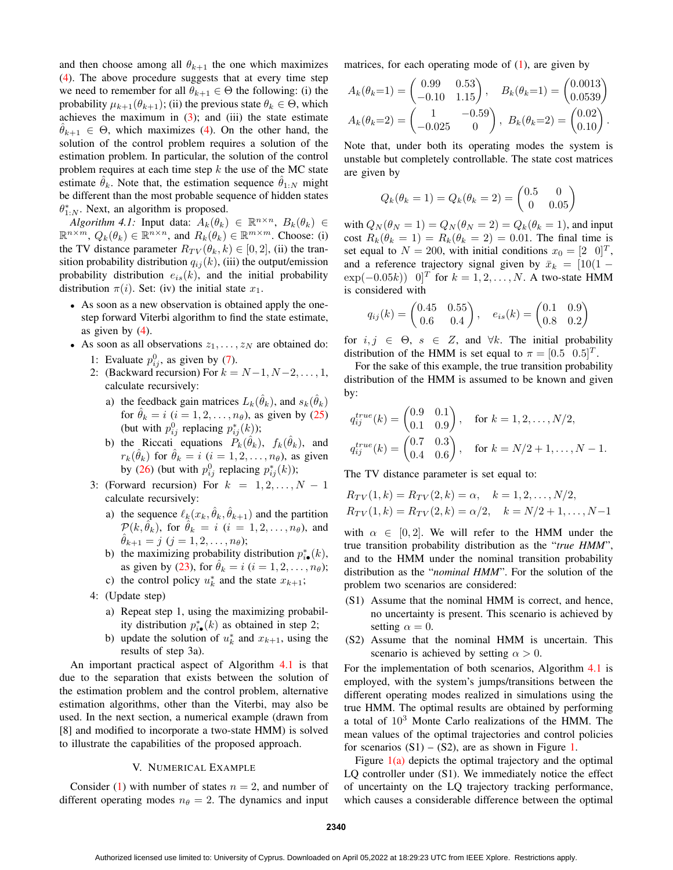and then choose among all  $\theta_{k+1}$  the one which maximizes (4). The above procedure suggests that at every time step we need to remember for all  $\theta_{k+1} \in \Theta$  the following: (i) the probability  $\mu_{k+1}(\theta_{k+1});$  (ii) the previous state  $\theta_k \in \Theta$ , which achieves the maximum in  $(3)$ ; and  $(iii)$  the state estimate  $\theta_{k+1} \in \Theta$ , which maximizes (4). On the other hand, the solution of the control problem requires a solution of the estimation problem. In particular, the solution of the control problem requires at each time step  $k$  the use of the MC state estimate  $\hat{\theta}_k$ . Note that, the estimation sequence  $\hat{\theta}_{1:N}$  might be different than the most probable sequence of hidden states  $\theta_{1:N}^*$ . Next, an algorithm is proposed.

*Algorithm 4.1:* Input data:  $A_k(\theta_k) \in \mathbb{R}^{n \times n}$ ,  $B_k(\theta_k) \in$  $\mathbb{R}^{n \times m}$ ,  $Q_k(\theta_k) \in \mathbb{R}^{n \times n}$ , and  $R_k(\theta_k) \in \mathbb{R}^{m \times m}$ . Choose: (i) the TV distance parameter  $R_{TV}(\theta_k, k) \in [0, 2]$ , (ii) the transition probability distribution  $q_{ij}(k)$ , (iii) the output/emission probability distribution  $e_{is}(k)$ , and the initial probability distribution  $\pi(i)$ . Set: (iv) the initial state  $x_1$ .

- As soon as a new observation is obtained apply the onestep forward Viterbi algorithm to find the state estimate, as given by  $(4)$ .
- As soon as all observations  $z_1, \ldots, z_N$  are obtained do: 1: Evaluate  $p_{ij}^0$ , as given by (7).
	- 2: (Backward recursion) For  $k = N-1, N-2, \ldots, 1$ , calculate recursively:
		- a) the feedback gain matrices  $L_k(\hat{\theta}_k)$ , and  $s_k(\hat{\theta}_k)$ for  $\hat{\theta}_k = i$   $(i = 1, 2, \dots, n_\theta)$ , as given by (25) (but with  $p_{ij}^0$  replacing  $p_{ij}^*(k)$ );
		- b) the Riccati equations  $\tilde{P}_k(\hat{\theta}_k)$ ,  $f_k(\hat{\theta}_k)$ , and  $r_k(\hat{\theta}_k)$  for  $\hat{\theta}_k = i$   $(i = 1, 2, \dots, n_\theta)$ , as given by (26) (but with  $p_{ij}^0$  replacing  $p_{ij}^*(k)$ );
	- 3: (Forward recursion) For  $k = 1, 2, \ldots, N 1$ calculate recursively:
		- a) the sequence  $\ell_k(x_k, \hat{\theta}_k, \hat{\theta}_{k+1})$  and the partition  $\mathcal{P}(k, \hat{\theta}_k)$ , for  $\hat{\theta}_k = i$   $(i = 1, 2, \ldots, n_\theta)$ , and  $\theta_{k+1} = j \ (j = 1, 2, \ldots, n_\theta);$
		- b) the maximizing probability distribution  $p_{i\bullet}^*(k)$ , as given by (23), for  $\hat{\theta}_k = i$  ( $i = 1, 2, \dots, n_\theta$ );
		- c) the control policy  $u_k^*$  and the state  $x_{k+1}$ ;
	- 4: (Update step)
		- a) Repeat step 1, using the maximizing probability distribution  $p_{i\bullet}^*(k)$  as obtained in step 2;
		- b) update the solution of  $u_k^*$  and  $x_{k+1}$ , using the results of step 3a).

An important practical aspect of Algorithm 4.1 is that due to the separation that exists between the solution of the estimation problem and the control problem, alternative estimation algorithms, other than the Viterbi, may also be used. In the next section, a numerical example (drawn from [8] and modified to incorporate a two-state HMM) is solved to illustrate the capabilities of the proposed approach.

## V. NUMERICAL EXAMPLE

Consider (1) with number of states  $n = 2$ , and number of different operating modes  $n_{\theta} = 2$ . The dynamics and input matrices, for each operating mode of  $(1)$ , are given by

$$
A_k(\theta_k=1) = \begin{pmatrix} 0.99 & 0.53 \\ -0.10 & 1.15 \end{pmatrix}, \quad B_k(\theta_k=1) = \begin{pmatrix} 0.0013 \\ 0.0539 \end{pmatrix}
$$

$$
A_k(\theta_k=2) = \begin{pmatrix} 1 & -0.59 \\ -0.025 & 0 \end{pmatrix}, \ B_k(\theta_k=2) = \begin{pmatrix} 0.02 \\ 0.10 \end{pmatrix}.
$$

Note that, under both its operating modes the system is unstable but completely controllable. The state cost matrices are given by

$$
Q_k(\theta_k = 1) = Q_k(\theta_k = 2) = \begin{pmatrix} 0.5 & 0\\ 0 & 0.05 \end{pmatrix}
$$

with  $Q_N(\theta_N = 1) = Q_N(\theta_N = 2) = Q_k(\theta_k = 1)$ , and input cost  $R_k(\theta_k = 1) = R_k(\theta_k = 2) = 0.01$ . The final time is set equal to  $N = 200$ , with initial conditions  $x_0 = \begin{bmatrix} 2 & 0 \end{bmatrix}^T$ , and a reference trajectory signal given by  $\bar{x}_k = [10(1 \exp(-0.05k)$  0<sup>T</sup> for  $k = 1, 2, ..., N$ . A two-state HMM is considered with

$$
q_{ij}(k) = \begin{pmatrix} 0.45 & 0.55 \\ 0.6 & 0.4 \end{pmatrix}, \quad e_{is}(k) = \begin{pmatrix} 0.1 & 0.9 \\ 0.8 & 0.2 \end{pmatrix}
$$

for  $i, j \in \Theta$ ,  $s \in Z$ , and  $\forall k$ . The initial probability distribution of the HMM is set equal to  $\pi = [0.5 \ 0.5]^T$ .

For the sake of this example, the true transition probability distribution of the HMM is assumed to be known and given by:

$$
q_{ij}^{true}(k) = \begin{pmatrix} 0.9 & 0.1 \\ 0.1 & 0.9 \end{pmatrix}, \text{ for } k = 1, 2, ..., N/2,
$$
  

$$
q_{ij}^{true}(k) = \begin{pmatrix} 0.7 & 0.3 \\ 0.4 & 0.6 \end{pmatrix}, \text{ for } k = N/2 + 1, ..., N - 1.
$$

The TV distance parameter is set equal to:

$$
R_{TV}(1,k) = R_{TV}(2,k) = \alpha, \quad k = 1, 2, \dots, N/2,
$$
  
\n
$$
R_{TV}(1,k) = R_{TV}(2,k) = \alpha/2, \quad k = N/2 + 1, \dots, N-1
$$

with  $\alpha \in [0, 2]$ . We will refer to the HMM under the true transition probability distribution as the "*true HMM*", and to the HMM under the nominal transition probability distribution as the "*nominal HMM*". For the solution of the problem two scenarios are considered:

- (S1) Assume that the nominal HMM is correct, and hence, no uncertainty is present. This scenario is achieved by setting  $\alpha = 0$ .
- (S2) Assume that the nominal HMM is uncertain. This scenario is achieved by setting  $\alpha > 0$ .

For the implementation of both scenarios, Algorithm 4.1 is employed, with the system's jumps/transitions between the different operating modes realized in simulations using the true HMM. The optimal results are obtained by performing a total of 10<sup>3</sup> Monte Carlo realizations of the HMM. The mean values of the optimal trajectories and control policies for scenarios  $(S1) - (S2)$ , are as shown in Figure 1.

Figure  $1(a)$  depicts the optimal trajectory and the optimal LQ controller under (S1). We immediately notice the effect of uncertainty on the LQ trajectory tracking performance, which causes a considerable difference between the optimal